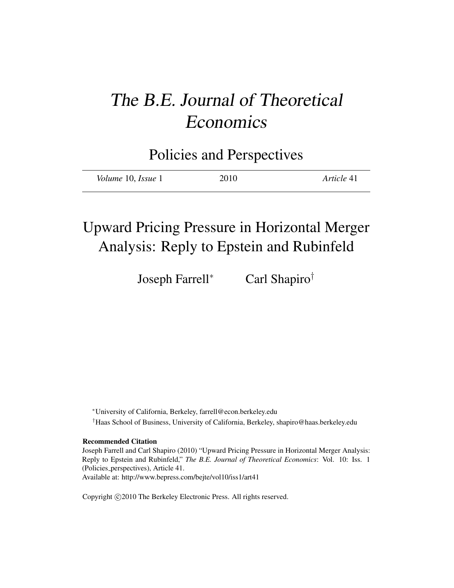# The B.E. Journal of Theoretical Economics

Policies and Perspectives

| 2010<br><i>Volume</i> 10, <i>Issue</i> 1 | Article 41 |
|------------------------------------------|------------|
|------------------------------------------|------------|

## Upward Pricing Pressure in Horizontal Merger Analysis: Reply to Epstein and Rubinfeld

Joseph Farrell<sup>∗</sup> Carl Shapiro†

<sup>∗</sup>University of California, Berkeley, farrell@econ.berkeley.edu †Haas School of Business, University of California, Berkeley, shapiro@haas.berkeley.edu

Recommended Citation

Joseph Farrell and Carl Shapiro (2010) "Upward Pricing Pressure in Horizontal Merger Analysis: Reply to Epstein and Rubinfeld," *The B.E. Journal of Theoretical Economics*: Vol. 10: Iss. 1 (Policies perspectives), Article 41. Available at: http://www.bepress.com/bejte/vol10/iss1/art41

Copyright © 2010 The Berkeley Electronic Press. All rights reserved.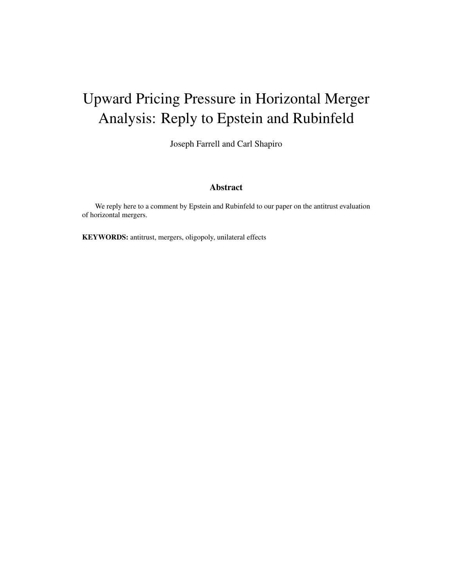## Upward Pricing Pressure in Horizontal Merger Analysis: Reply to Epstein and Rubinfeld

Joseph Farrell and Carl Shapiro

#### Abstract

We reply here to a comment by Epstein and Rubinfeld to our paper on the antitrust evaluation of horizontal mergers.

KEYWORDS: antitrust, mergers, oligopoly, unilateral effects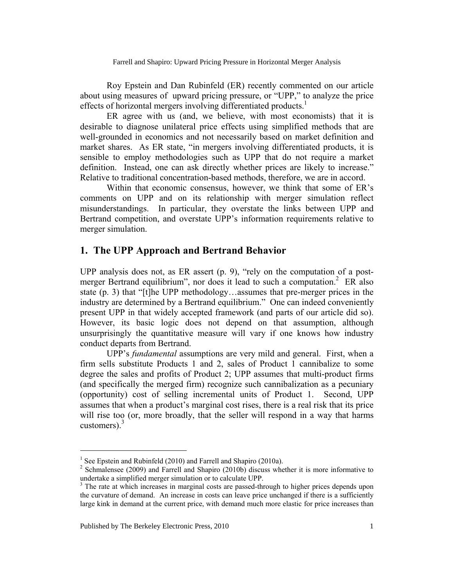Roy Epstein and Dan Rubinfeld (ER) recently commented on our article about using measures of upward pricing pressure, or "UPP," to analyze the price effects of horizontal mergers involving differentiated products.<sup>1</sup>

ER agree with us (and, we believe, with most economists) that it is desirable to diagnose unilateral price effects using simplified methods that are well-grounded in economics and not necessarily based on market definition and market shares. As ER state, "in mergers involving differentiated products, it is sensible to employ methodologies such as UPP that do not require a market definition. Instead, one can ask directly whether prices are likely to increase." Relative to traditional concentration-based methods, therefore, we are in accord.

Within that economic consensus, however, we think that some of ER's comments on UPP and on its relationship with merger simulation reflect misunderstandings. In particular, they overstate the links between UPP and Bertrand competition, and overstate UPP's information requirements relative to merger simulation.

## **1. The UPP Approach and Bertrand Behavior**

UPP analysis does not, as ER assert (p. 9), "rely on the computation of a postmerger Bertrand equilibrium", nor does it lead to such a computation.<sup>2</sup> ER also state (p. 3) that "[t]he UPP methodology…assumes that pre-merger prices in the industry are determined by a Bertrand equilibrium." One can indeed conveniently present UPP in that widely accepted framework (and parts of our article did so). However, its basic logic does not depend on that assumption, although unsurprisingly the quantitative measure will vary if one knows how industry conduct departs from Bertrand.

UPP's *fundamental* assumptions are very mild and general. First, when a firm sells substitute Products 1 and 2, sales of Product 1 cannibalize to some degree the sales and profits of Product 2; UPP assumes that multi-product firms (and specifically the merged firm) recognize such cannibalization as a pecuniary (opportunity) cost of selling incremental units of Product 1. Second, UPP assumes that when a product's marginal cost rises, there is a real risk that its price will rise too (or, more broadly, that the seller will respond in a way that harms customers). $3$ 

<sup>&</sup>lt;sup>1</sup> See Epstein and Rubinfeld (2010) and Farrell and Shapiro (2010a).

 $2^2$  Schmalensee (2009) and Farrell and Shapiro (2010b) discuss whether it is more informative to undertake a simplified merger simulation or to calculate UPP. 3

<sup>&</sup>lt;sup>3</sup> The rate at which increases in marginal costs are passed-through to higher prices depends upon the curvature of demand. An increase in costs can leave price unchanged if there is a sufficiently large kink in demand at the current price, with demand much more elastic for price increases than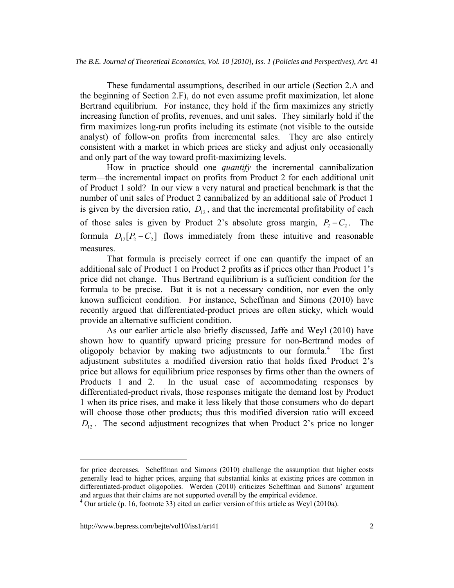These fundamental assumptions, described in our article (Section 2.A and the beginning of Section 2.F), do not even assume profit maximization, let alone Bertrand equilibrium. For instance, they hold if the firm maximizes any strictly increasing function of profits, revenues, and unit sales. They similarly hold if the firm maximizes long-run profits including its estimate (not visible to the outside analyst) of follow-on profits from incremental sales. They are also entirely consistent with a market in which prices are sticky and adjust only occasionally and only part of the way toward profit-maximizing levels.

How in practice should one *quantify* the incremental cannibalization term—the incremental impact on profits from Product 2 for each additional unit of Product 1 sold? In our view a very natural and practical benchmark is that the number of unit sales of Product 2 cannibalized by an additional sale of Product 1 is given by the diversion ratio,  $D_{12}$ , and that the incremental profitability of each of those sales is given by Product 2's absolute gross margin,  $P_2 - C_2$ . The formula  $D_{12}[P_2 - C_2]$  flows immediately from these intuitive and reasonable measures.

That formula is precisely correct if one can quantify the impact of an additional sale of Product 1 on Product 2 profits as if prices other than Product 1's price did not change. Thus Bertrand equilibrium is a sufficient condition for the formula to be precise. But it is not a necessary condition, nor even the only known sufficient condition. For instance, Scheffman and Simons (2010) have recently argued that differentiated-product prices are often sticky, which would provide an alternative sufficient condition.

As our earlier article also briefly discussed, Jaffe and Weyl (2010) have shown how to quantify upward pricing pressure for non-Bertrand modes of oligopoly behavior by making two adjustments to our formula.<sup>4</sup> The first adjustment substitutes a modified diversion ratio that holds fixed Product 2's price but allows for equilibrium price responses by firms other than the owners of Products 1 and 2. In the usual case of accommodating responses by differentiated-product rivals, those responses mitigate the demand lost by Product 1 when its price rises, and make it less likely that those consumers who do depart will choose those other products; thus this modified diversion ratio will exceed  $D_{12}$ . The second adjustment recognizes that when Product 2's price no longer

for price decreases. Scheffman and Simons (2010) challenge the assumption that higher costs generally lead to higher prices, arguing that substantial kinks at existing prices are common in differentiated-product oligopolies. Werden (2010) criticizes Scheffman and Simons' argument and argues that their claims are not supported overall by the empirical evidence. 4

<sup>&</sup>lt;sup>4</sup> Our article (p. 16, footnote 33) cited an earlier version of this article as Weyl (2010a).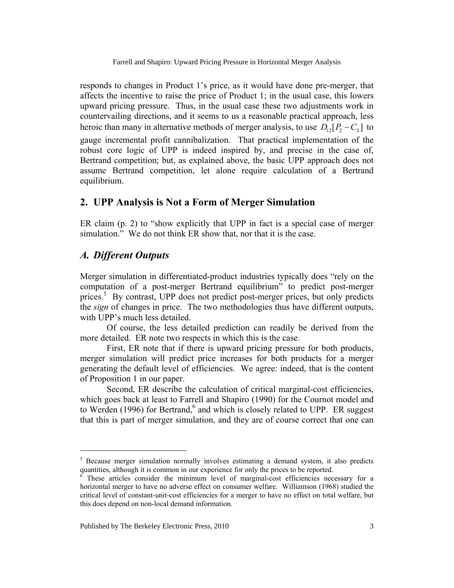responds to changes in Product 1's price, as it would have done pre-merger, that affects the incentive to raise the price of Product 1; in the usual case, this lowers upward pricing pressure. Thus, in the usual case these two adjustments work in countervailing directions, and it seems to us a reasonable practical approach, less heroic than many in alternative methods of merger analysis, to use  $D_{12}[P_2 - C_2]$  to gauge incremental profit cannibalization. That practical implementation of the robust core logic of UPP is indeed inspired by, and precise in the case of, Bertrand competition; but, as explained above, the basic UPP approach does not assume Bertrand competition, let alone require calculation of a Bertrand equilibrium.

#### **2. UPP Analysis is Not a Form of Merger Simulation**

ER claim (p. 2) to "show explicitly that UPP in fact is a special case of merger simulation." We do not think ER show that, nor that it is the case.

#### *A. Different Outputs*

 $\overline{a}$ 

Merger simulation in differentiated-product industries typically does "rely on the computation of a post-merger Bertrand equilibrium" to predict post-merger prices.<sup>5</sup> By contrast, UPP does not predict post-merger prices, but only predicts the *sign* of changes in price. The two methodologies thus have different outputs, with UPP's much less detailed.

Of course, the less detailed prediction can readily be derived from the more detailed. ER note two respects in which this is the case.

First, ER note that if there is upward pricing pressure for both products, merger simulation will predict price increases for both products for a merger generating the default level of efficiencies. We agree: indeed, that is the content of Proposition 1 in our paper.

Second, ER describe the calculation of critical marginal-cost efficiencies, which goes back at least to Farrell and Shapiro (1990) for the Cournot model and to Werden (1996) for Bertrand, $6$  and which is closely related to UPP. ER suggest that this is part of merger simulation, and they are of course correct that one can

<sup>&</sup>lt;sup>5</sup> Because merger simulation normally involves estimating a demand system, it also predicts quantities, although it is common in our experience for only the prices to be reported.

<sup>6</sup> These articles consider the minimum level of marginal-cost efficiencies necessary for a horizontal merger to have no adverse effect on consumer welfare. Williamson (1968) studied the critical level of constant-unit-cost efficiencies for a merger to have no effect on total welfare, but this does depend on non-local demand information.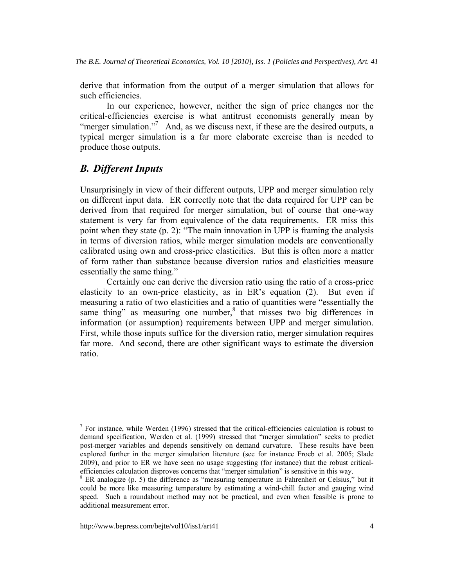derive that information from the output of a merger simulation that allows for such efficiencies.

In our experience, however, neither the sign of price changes nor the critical-efficiencies exercise is what antitrust economists generally mean by "merger simulation."<sup>7</sup> And, as we discuss next, if these are the desired outputs, a typical merger simulation is a far more elaborate exercise than is needed to produce those outputs.

### *B. Different Inputs*

 $\overline{a}$ 

Unsurprisingly in view of their different outputs, UPP and merger simulation rely on different input data. ER correctly note that the data required for UPP can be derived from that required for merger simulation, but of course that one-way statement is very far from equivalence of the data requirements. ER miss this point when they state (p. 2): "The main innovation in UPP is framing the analysis in terms of diversion ratios, while merger simulation models are conventionally calibrated using own and cross-price elasticities. But this is often more a matter of form rather than substance because diversion ratios and elasticities measure essentially the same thing."

Certainly one can derive the diversion ratio using the ratio of a cross-price elasticity to an own-price elasticity, as in ER's equation (2). But even if measuring a ratio of two elasticities and a ratio of quantities were "essentially the same thing" as measuring one number, $8$  that misses two big differences in information (or assumption) requirements between UPP and merger simulation. First, while those inputs suffice for the diversion ratio, merger simulation requires far more. And second, there are other significant ways to estimate the diversion ratio.

 $<sup>7</sup>$  For instance, while Werden (1996) stressed that the critical-efficiencies calculation is robust to</sup> demand specification, Werden et al. (1999) stressed that "merger simulation" seeks to predict post-merger variables and depends sensitively on demand curvature. These results have been explored further in the merger simulation literature (see for instance Froeb et al. 2005; Slade 2009), and prior to ER we have seen no usage suggesting (for instance) that the robust criticalefficiencies calculation disproves concerns that "merger simulation" is sensitive in this way. 8

<sup>&</sup>lt;sup>8</sup> ER analogize (p. 5) the difference as "measuring temperature in Fahrenheit or Celsius," but it could be more like measuring temperature by estimating a wind-chill factor and gauging wind speed. Such a roundabout method may not be practical, and even when feasible is prone to additional measurement error.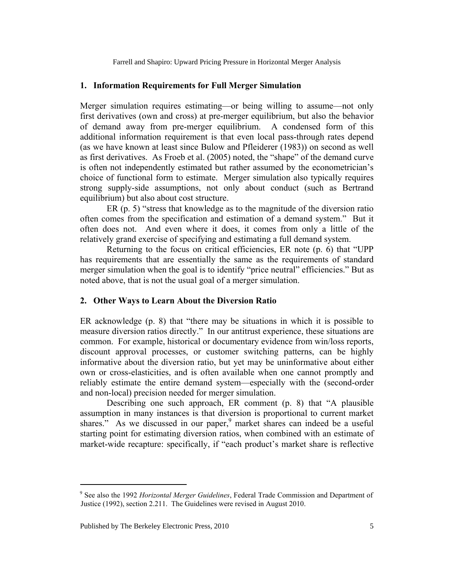#### **1. Information Requirements for Full Merger Simulation**

Merger simulation requires estimating—or being willing to assume—not only first derivatives (own and cross) at pre-merger equilibrium, but also the behavior of demand away from pre-merger equilibrium. A condensed form of this additional information requirement is that even local pass-through rates depend (as we have known at least since Bulow and Pfleiderer (1983)) on second as well as first derivatives. As Froeb et al. (2005) noted, the "shape" of the demand curve is often not independently estimated but rather assumed by the econometrician's choice of functional form to estimate. Merger simulation also typically requires strong supply-side assumptions, not only about conduct (such as Bertrand equilibrium) but also about cost structure.

ER (p. 5) "stress that knowledge as to the magnitude of the diversion ratio often comes from the specification and estimation of a demand system." But it often does not. And even where it does, it comes from only a little of the relatively grand exercise of specifying and estimating a full demand system.

Returning to the focus on critical efficiencies, ER note (p. 6) that "UPP has requirements that are essentially the same as the requirements of standard merger simulation when the goal is to identify "price neutral" efficiencies." But as noted above, that is not the usual goal of a merger simulation.

#### **2. Other Ways to Learn About the Diversion Ratio**

ER acknowledge (p. 8) that "there may be situations in which it is possible to measure diversion ratios directly." In our antitrust experience, these situations are common. For example, historical or documentary evidence from win/loss reports, discount approval processes, or customer switching patterns, can be highly informative about the diversion ratio, but yet may be uninformative about either own or cross-elasticities, and is often available when one cannot promptly and reliably estimate the entire demand system—especially with the (second-order and non-local) precision needed for merger simulation.

Describing one such approach, ER comment (p. 8) that "A plausible assumption in many instances is that diversion is proportional to current market shares." As we discussed in our paper,  $9$  market shares can indeed be a useful starting point for estimating diversion ratios, when combined with an estimate of market-wide recapture: specifically, if "each product's market share is reflective

<sup>9</sup> See also the 1992 *Horizontal Merger Guidelines*, Federal Trade Commission and Department of Justice (1992), section 2.211. The Guidelines were revised in August 2010.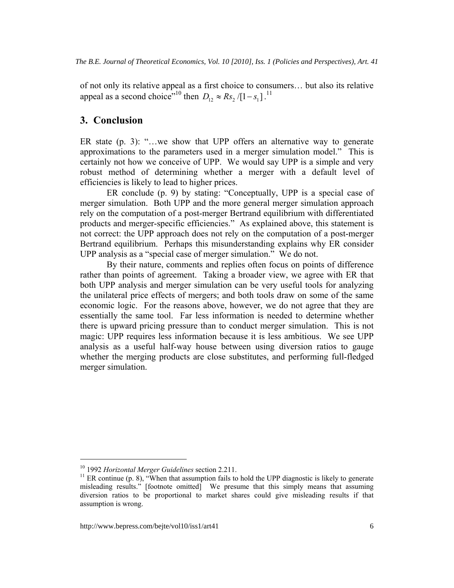of not only its relative appeal as a first choice to consumers… but also its relative appeal as a second choice"<sup>10</sup> then  $D_{12} \approx Rs_2 / [1 - s_1]$ .<sup>11</sup>

#### **3. Conclusion**

ER state (p. 3): "…we show that UPP offers an alternative way to generate approximations to the parameters used in a merger simulation model." This is certainly not how we conceive of UPP. We would say UPP is a simple and very robust method of determining whether a merger with a default level of efficiencies is likely to lead to higher prices.

ER conclude (p. 9) by stating: "Conceptually, UPP is a special case of merger simulation. Both UPP and the more general merger simulation approach rely on the computation of a post-merger Bertrand equilibrium with differentiated products and merger-specific efficiencies." As explained above, this statement is not correct: the UPP approach does not rely on the computation of a post-merger Bertrand equilibrium. Perhaps this misunderstanding explains why ER consider UPP analysis as a "special case of merger simulation." We do not.

By their nature, comments and replies often focus on points of difference rather than points of agreement. Taking a broader view, we agree with ER that both UPP analysis and merger simulation can be very useful tools for analyzing the unilateral price effects of mergers; and both tools draw on some of the same economic logic. For the reasons above, however, we do not agree that they are essentially the same tool. Far less information is needed to determine whether there is upward pricing pressure than to conduct merger simulation. This is not magic: UPP requires less information because it is less ambitious. We see UPP analysis as a useful half-way house between using diversion ratios to gauge whether the merging products are close substitutes, and performing full-fledged merger simulation.

<sup>&</sup>lt;sup>10</sup> 1992 *Horizontal Merger Guidelines* section 2.211.<br><sup>11</sup> ER continue (p. 8), "When that assumption fails to hold the UPP diagnostic is likely to generate misleading results." [footnote omitted] We presume that this simply means that assuming diversion ratios to be proportional to market shares could give misleading results if that assumption is wrong.